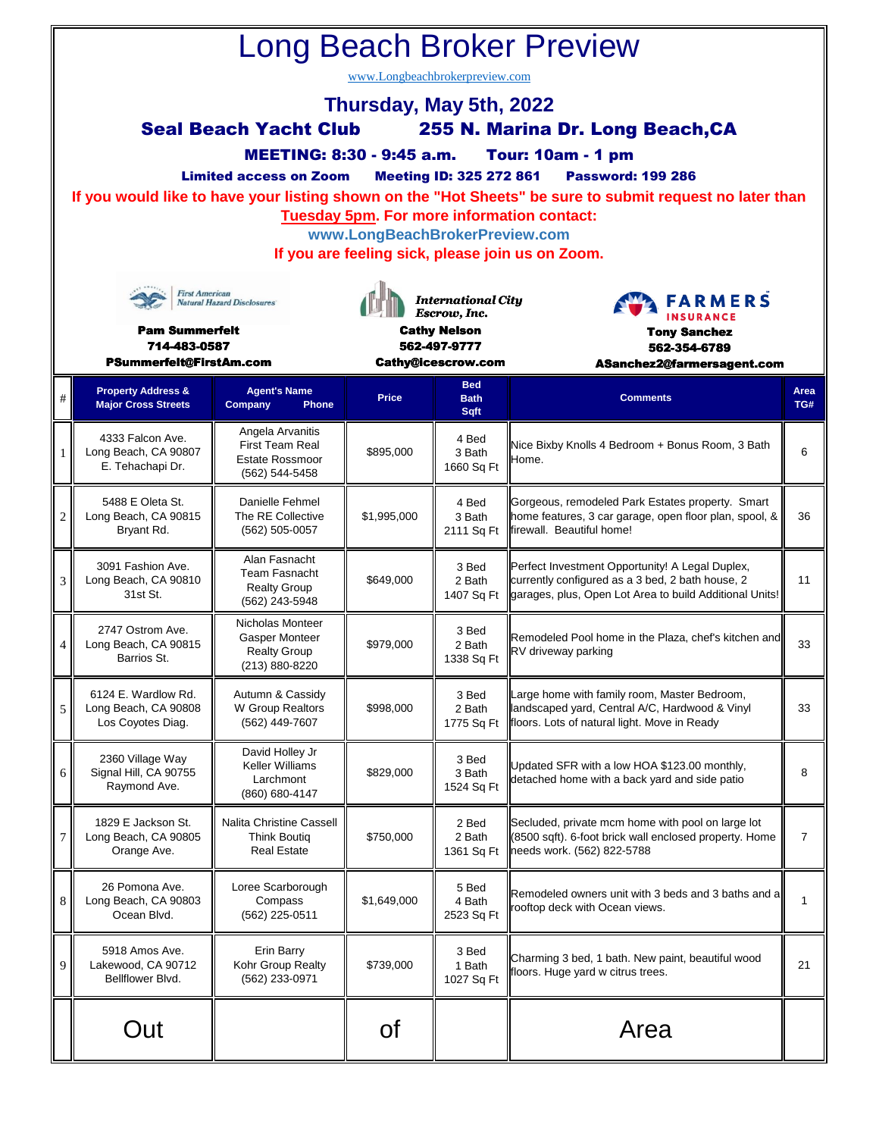| <b>Long Beach Broker Preview</b><br>www.Longbeachbrokerpreview.com                                                                                                                                                                                                                                                                                                                                                                                                                                                |                                                                  |                                                                                 |                                                                  |                                   |                                                                                                                                                                |                |  |  |  |  |  |  |
|-------------------------------------------------------------------------------------------------------------------------------------------------------------------------------------------------------------------------------------------------------------------------------------------------------------------------------------------------------------------------------------------------------------------------------------------------------------------------------------------------------------------|------------------------------------------------------------------|---------------------------------------------------------------------------------|------------------------------------------------------------------|-----------------------------------|----------------------------------------------------------------------------------------------------------------------------------------------------------------|----------------|--|--|--|--|--|--|
| Thursday, May 5th, 2022<br><b>Seal Beach Yacht Club</b><br>255 N. Marina Dr. Long Beach, CA<br><b>MEETING: 8:30 - 9:45 a.m.</b><br><b>Tour: 10am - 1 pm</b><br><b>Meeting ID: 325 272 861</b><br><b>Limited access on Zoom</b><br><b>Password: 199 286</b><br>If you would like to have your listing shown on the "Hot Sheets" be sure to submit request no later than<br><b>Tuesday 5pm. For more information contact:</b><br>www.LongBeachBrokerPreview.com<br>If you are feeling sick, please join us on Zoom. |                                                                  |                                                                                 |                                                                  |                                   |                                                                                                                                                                |                |  |  |  |  |  |  |
| <b>First American</b><br><b>Natural Hazard Disclosures</b><br><b>Pam Summerfelt</b>                                                                                                                                                                                                                                                                                                                                                                                                                               |                                                                  |                                                                                 | <b>International City</b><br>Escrow, Inc.<br><b>Cathy Nelson</b> |                                   | <b>FARMERS</b><br><b>INSURANCE</b><br><b>Tony Sanchez</b>                                                                                                      |                |  |  |  |  |  |  |
| 714-483-0587<br>PSummerfelt@FirstAm.com                                                                                                                                                                                                                                                                                                                                                                                                                                                                           |                                                                  |                                                                                 | 562-497-9777<br>Cathy@icescrow.com                               |                                   | 562-354-6789<br>ASanchez2@farmersagent.com                                                                                                                     |                |  |  |  |  |  |  |
| $\#$                                                                                                                                                                                                                                                                                                                                                                                                                                                                                                              | <b>Property Address &amp;</b><br><b>Major Cross Streets</b>      | <b>Agent's Name</b><br>Company<br><b>Phone</b>                                  | Price                                                            | <b>Bed</b><br><b>Bath</b><br>Sqft | <b>Comments</b>                                                                                                                                                | Area<br>TG#    |  |  |  |  |  |  |
| 1                                                                                                                                                                                                                                                                                                                                                                                                                                                                                                                 | 4333 Falcon Ave.<br>Long Beach, CA 90807<br>E. Tehachapi Dr.     | Angela Arvanitis<br>First Team Real<br><b>Estate Rossmoor</b><br>(562) 544-5458 | \$895,000                                                        | 4 Bed<br>3 Bath<br>1660 Sq Ft     | Nice Bixby Knolls 4 Bedroom + Bonus Room, 3 Bath<br>Home.                                                                                                      | 6              |  |  |  |  |  |  |
| $\overline{2}$                                                                                                                                                                                                                                                                                                                                                                                                                                                                                                    | 5488 E Oleta St.<br>Long Beach, CA 90815<br>Bryant Rd.           | Danielle Fehmel<br>The RE Collective<br>(562) 505-0057                          | \$1,995,000                                                      | 4 Bed<br>3 Bath<br>2111 Sq Ft     | Gorgeous, remodeled Park Estates property. Smart<br>home features, 3 car garage, open floor plan, spool, &<br>firewall. Beautiful home!                        | 36             |  |  |  |  |  |  |
| 3                                                                                                                                                                                                                                                                                                                                                                                                                                                                                                                 | 3091 Fashion Ave.<br>Long Beach, CA 90810<br>31st St.            | Alan Fasnacht<br>Team Fasnacht<br><b>Realty Group</b><br>(562) 243-5948         | \$649,000                                                        | 3 Bed<br>2 Bath<br>1407 Sq Ft     | Perfect Investment Opportunity! A Legal Duplex,<br>currently configured as a 3 bed, 2 bath house, 2<br>garages, plus, Open Lot Area to build Additional Units! | 11             |  |  |  |  |  |  |
| $\overline{4}$                                                                                                                                                                                                                                                                                                                                                                                                                                                                                                    | 2747 Ostrom Ave.<br>Long Beach, CA 90815<br>Barrios St.          | Nicholas Monteer<br>Gasper Monteer<br><b>Realty Group</b><br>(213) 880-8220     | \$979,000                                                        | 3 Bed<br>2 Bath<br>1338 Sq Ft     | Remodeled Pool home in the Plaza, chef's kitchen and<br>RV driveway parking                                                                                    | 33             |  |  |  |  |  |  |
| 5                                                                                                                                                                                                                                                                                                                                                                                                                                                                                                                 | 6124 E. Wardlow Rd.<br>Long Beach, CA 90808<br>Los Coyotes Diag. | Autumn & Cassidy<br>W Group Realtors<br>(562) 449-7607                          | \$998,000                                                        | 3 Bed<br>2 Bath<br>1775 Sq Ft     | Large home with family room, Master Bedroom,<br>landscaped yard, Central A/C, Hardwood & Vinyl<br>floors. Lots of natural light. Move in Ready                 | 33             |  |  |  |  |  |  |
| 6                                                                                                                                                                                                                                                                                                                                                                                                                                                                                                                 | 2360 Village Way<br>Signal Hill, CA 90755<br>Raymond Ave.        | David Holley Jr<br>Keller Williams<br>Larchmont<br>(860) 680-4147               | \$829,000                                                        | 3 Bed<br>3 Bath<br>1524 Sq Ft     | Updated SFR with a low HOA \$123.00 monthly,<br>detached home with a back yard and side patio                                                                  | 8              |  |  |  |  |  |  |
| 7                                                                                                                                                                                                                                                                                                                                                                                                                                                                                                                 | 1829 E Jackson St.<br>Long Beach, CA 90805<br>Orange Ave.        | <b>Nalita Christine Cassell</b><br><b>Think Boutiq</b><br><b>Real Estate</b>    | \$750,000                                                        | 2 Bed<br>2 Bath<br>1361 Sq Ft     | Secluded, private mcm home with pool on large lot<br>(8500 sqft). 6-foot brick wall enclosed property. Home<br>needs work. (562) 822-5788                      | $\overline{7}$ |  |  |  |  |  |  |
| 8                                                                                                                                                                                                                                                                                                                                                                                                                                                                                                                 | 26 Pomona Ave.<br>Long Beach, CA 90803<br>Ocean Blvd.            | Loree Scarborough<br>Compass<br>(562) 225-0511                                  | \$1,649,000                                                      | 5 Bed<br>4 Bath<br>2523 Sq Ft     | Remodeled owners unit with 3 beds and 3 baths and a<br>rooftop deck with Ocean views.                                                                          | $\mathbf{1}$   |  |  |  |  |  |  |
| 9                                                                                                                                                                                                                                                                                                                                                                                                                                                                                                                 | 5918 Amos Ave.<br>Lakewood, CA 90712<br>Bellflower Blvd.         | Erin Barry<br>Kohr Group Realty<br>(562) 233-0971                               | \$739,000                                                        | 3 Bed<br>1 Bath<br>1027 Sq Ft     | Charming 3 bed, 1 bath. New paint, beautiful wood<br>floors. Huge yard w citrus trees.                                                                         | 21             |  |  |  |  |  |  |
|                                                                                                                                                                                                                                                                                                                                                                                                                                                                                                                   | Out                                                              |                                                                                 | 0f                                                               |                                   | Area                                                                                                                                                           |                |  |  |  |  |  |  |